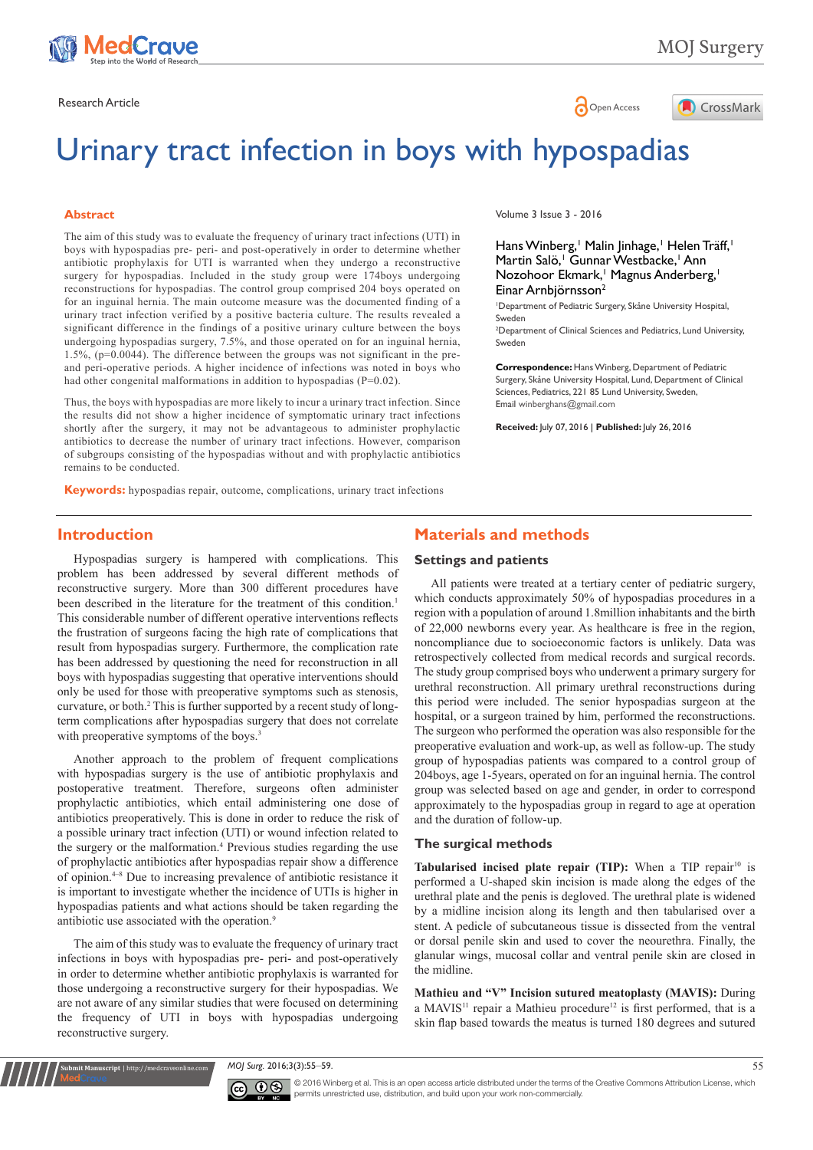

MOJ Surgery



# Urinary tract infection in boys with hypospadias

#### **Abstract**

The aim of this study was to evaluate the frequency of urinary tract infections (UTI) in boys with hypospadias pre- peri- and post-operatively in order to determine whether antibiotic prophylaxis for UTI is warranted when they undergo a reconstructive surgery for hypospadias. Included in the study group were 174boys undergoing reconstructions for hypospadias. The control group comprised 204 boys operated on for an inguinal hernia. The main outcome measure was the documented finding of a urinary tract infection verified by a positive bacteria culture. The results revealed a significant difference in the findings of a positive urinary culture between the boys undergoing hypospadias surgery, 7.5%, and those operated on for an inguinal hernia, 1.5%, (p=0.0044). The difference between the groups was not significant in the preand peri-operative periods. A higher incidence of infections was noted in boys who had other congenital malformations in addition to hypospadias (P=0.02).

Thus, the boys with hypospadias are more likely to incur a urinary tract infection. Since the results did not show a higher incidence of symptomatic urinary tract infections shortly after the surgery, it may not be advantageous to administer prophylactic antibiotics to decrease the number of urinary tract infections. However, comparison of subgroups consisting of the hypospadias without and with prophylactic antibiotics remains to be conducted.

**Keywords:** hypospadias repair, outcome, complications, urinary tract infections

#### Volume 3 Issue 3 - 2016

Hans Winberg,<sup>1</sup> Malin Jinhage,<sup>1</sup> Helen Träff,<sup>1</sup> Martin Salö, Gunnar Westbacke, Ann Nozohoor Ekmark,<sup>1</sup> Magnus Anderberg,<sup>1</sup> Einar Arnbjörnsson2

1 Department of Pediatric Surgery, Skåne University Hospital, Sweden

2 Department of Clinical Sciences and Pediatrics, Lund University, Sweden

**Correspondence:** Hans Winberg, Department of Pediatric Surgery, Skåne University Hospital, Lund, Department of Clinical Sciences, Pediatrics, 221 85 Lund University, Sweden, Email winberghans@gmail.com

**Received:** July 07, 2016 | **Published:** July 26, 2016

## **Introduction**

Hypospadias surgery is hampered with complications. This problem has been addressed by several different methods of reconstructive surgery. More than 300 different procedures have been described in the literature for the treatment of this condition.<sup>1</sup> This considerable number of different operative interventions reflects the frustration of surgeons facing the high rate of complications that result from hypospadias surgery. Furthermore, the complication rate has been addressed by questioning the need for reconstruction in all boys with hypospadias suggesting that operative interventions should only be used for those with preoperative symptoms such as stenosis, curvature, or both.<sup>2</sup> This is further supported by a recent study of longterm complications after hypospadias surgery that does not correlate with preoperative symptoms of the boys.<sup>3</sup>

Another approach to the problem of frequent complications with hypospadias surgery is the use of antibiotic prophylaxis and postoperative treatment. Therefore, surgeons often administer prophylactic antibiotics, which entail administering one dose of antibiotics preoperatively. This is done in order to reduce the risk of a possible urinary tract infection (UTI) or wound infection related to the surgery or the malformation.<sup>4</sup> Previous studies regarding the use of prophylactic antibiotics after hypospadias repair show a difference of opinion.4–8 Due to increasing prevalence of antibiotic resistance it is important to investigate whether the incidence of UTIs is higher in hypospadias patients and what actions should be taken regarding the antibiotic use associated with the operation.9

The aim of this study was to evaluate the frequency of urinary tract infections in boys with hypospadias pre- peri- and post-operatively in order to determine whether antibiotic prophylaxis is warranted for those undergoing a reconstructive surgery for their hypospadias. We are not aware of any similar studies that were focused on determining the frequency of UTI in boys with hypospadias undergoing reconstructive surgery.

**it Manuscript** | http://medcraveonline.c

## **Materials and methods**

#### **Settings and patients**

All patients were treated at a tertiary center of pediatric surgery, which conducts approximately 50% of hypospadias procedures in a region with a population of around 1.8million inhabitants and the birth of 22,000 newborns every year. As healthcare is free in the region, noncompliance due to socioeconomic factors is unlikely. Data was retrospectively collected from medical records and surgical records. The study group comprised boys who underwent a primary surgery for urethral reconstruction. All primary urethral reconstructions during this period were included. The senior hypospadias surgeon at the hospital, or a surgeon trained by him, performed the reconstructions. The surgeon who performed the operation was also responsible for the preoperative evaluation and work-up, as well as follow-up. The study group of hypospadias patients was compared to a control group of 204boys, age 1-5years, operated on for an inguinal hernia. The control group was selected based on age and gender, in order to correspond approximately to the hypospadias group in regard to age at operation and the duration of follow-up.

### **The surgical methods**

Tabularised incised plate repair (TIP): When a TIP repair<sup>10</sup> is performed a U-shaped skin incision is made along the edges of the urethral plate and the penis is degloved. The urethral plate is widened by a midline incision along its length and then tabularised over a stent. A pedicle of subcutaneous tissue is dissected from the ventral or dorsal penile skin and used to cover the neourethra. Finally, the glanular wings, mucosal collar and ventral penile skin are closed in the midline.

**Mathieu and "V" Incision sutured meatoplasty (MAVIS):** During a MAVIS<sup>11</sup> repair a Mathieu procedure<sup>12</sup> is first performed, that is a skin flap based towards the meatus is turned 180 degrees and sutured

*MOJ Surg.* 2016;3(3):55‒59. 55



© 2016 Winberg et al. This is an open access article distributed under the terms of the [Creative Commons Attribution License,](https://creativecommons.org/licenses/by-nc/4.0/) which permits unrestricted use, distribution, and build upon your work non-commercially.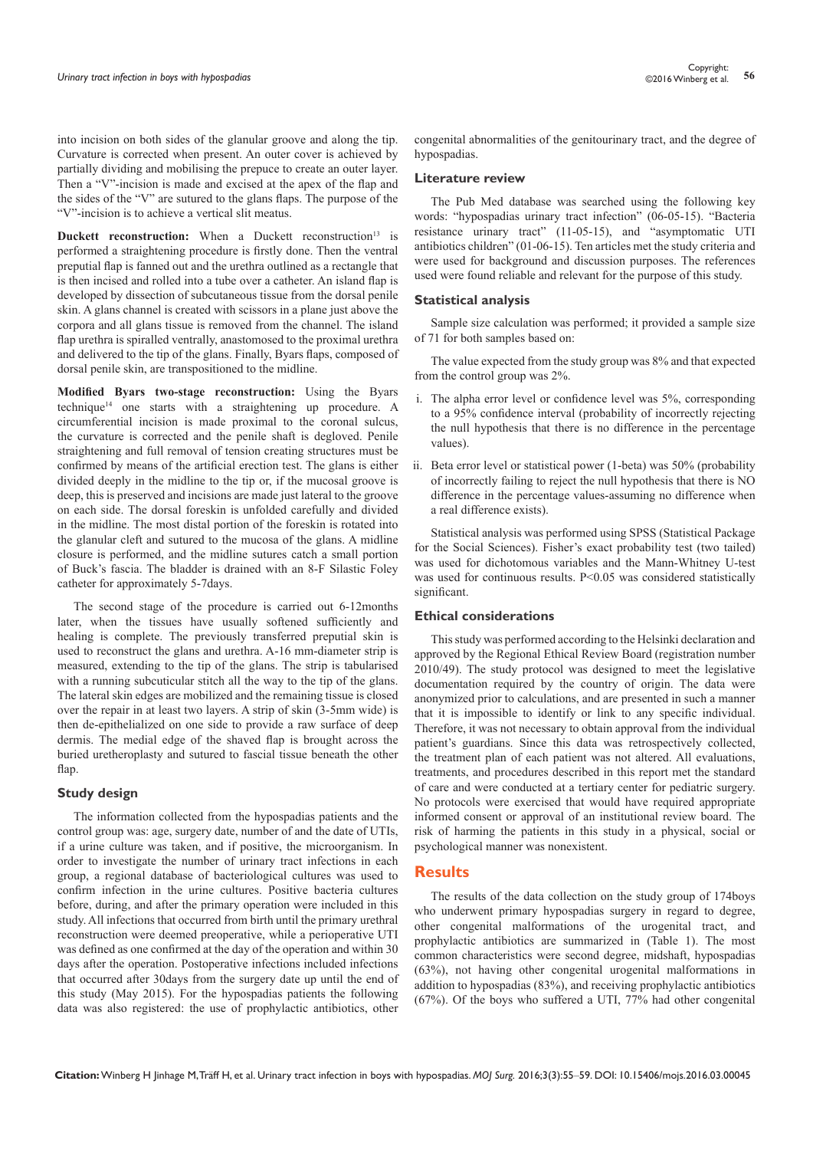into incision on both sides of the glanular groove and along the tip. Curvature is corrected when present. An outer cover is achieved by partially dividing and mobilising the prepuce to create an outer layer. Then a "V"-incision is made and excised at the apex of the flap and the sides of the "V" are sutured to the glans flaps. The purpose of the "V"-incision is to achieve a vertical slit meatus.

**Duckett reconstruction:** When a Duckett reconstruction<sup>13</sup> is performed a straightening procedure is firstly done. Then the ventral preputial flap is fanned out and the urethra outlined as a rectangle that is then incised and rolled into a tube over a catheter. An island flap is developed by dissection of subcutaneous tissue from the dorsal penile skin. A glans channel is created with scissors in a plane just above the corpora and all glans tissue is removed from the channel. The island flap urethra is spiralled ventrally, anastomosed to the proximal urethra and delivered to the tip of the glans. Finally, Byars flaps, composed of dorsal penile skin, are transpositioned to the midline.

**Modified Byars two-stage reconstruction:** Using the Byars technique14 one starts with a straightening up procedure. A circumferential incision is made proximal to the coronal sulcus, the curvature is corrected and the penile shaft is degloved. Penile straightening and full removal of tension creating structures must be confirmed by means of the artificial erection test. The glans is either divided deeply in the midline to the tip or, if the mucosal groove is deep, this is preserved and incisions are made just lateral to the groove on each side. The dorsal foreskin is unfolded carefully and divided in the midline. The most distal portion of the foreskin is rotated into the glanular cleft and sutured to the mucosa of the glans. A midline closure is performed, and the midline sutures catch a small portion of Buck's fascia. The bladder is drained with an 8-F Silastic Foley catheter for approximately 5-7days.

The second stage of the procedure is carried out 6-12months later, when the tissues have usually softened sufficiently and healing is complete. The previously transferred preputial skin is used to reconstruct the glans and urethra. A-16 mm-diameter strip is measured, extending to the tip of the glans. The strip is tabularised with a running subcuticular stitch all the way to the tip of the glans. The lateral skin edges are mobilized and the remaining tissue is closed over the repair in at least two layers. A strip of skin (3-5mm wide) is then de-epithelialized on one side to provide a raw surface of deep dermis. The medial edge of the shaved flap is brought across the buried uretheroplasty and sutured to fascial tissue beneath the other flap.

#### **Study design**

The information collected from the hypospadias patients and the control group was: age, surgery date, number of and the date of UTIs, if a urine culture was taken, and if positive, the microorganism. In order to investigate the number of urinary tract infections in each group, a regional database of bacteriological cultures was used to confirm infection in the urine cultures. Positive bacteria cultures before, during, and after the primary operation were included in this study. All infections that occurred from birth until the primary urethral reconstruction were deemed preoperative, while a perioperative UTI was defined as one confirmed at the day of the operation and within 30 days after the operation. Postoperative infections included infections that occurred after 30days from the surgery date up until the end of this study (May 2015). For the hypospadias patients the following data was also registered: the use of prophylactic antibiotics, other

congenital abnormalities of the genitourinary tract, and the degree of hypospadias.

#### **Literature review**

The Pub Med database was searched using the following key words: "hypospadias urinary tract infection" (06-05-15). "Bacteria resistance urinary tract" (11-05-15), and "asymptomatic UTI antibiotics children" (01-06-15). Ten articles met the study criteria and were used for background and discussion purposes. The references used were found reliable and relevant for the purpose of this study.

#### **Statistical analysis**

Sample size calculation was performed; it provided a sample size of 71 for both samples based on:

The value expected from the study group was 8% and that expected from the control group was 2%.

- i. The alpha error level or confidence level was 5%, corresponding to a 95% confidence interval (probability of incorrectly rejecting the null hypothesis that there is no difference in the percentage values).
- ii. Beta error level or statistical power (1-beta) was 50% (probability of incorrectly failing to reject the null hypothesis that there is NO difference in the percentage values-assuming no difference when a real difference exists).

Statistical analysis was performed using SPSS (Statistical Package for the Social Sciences). Fisher's exact probability test (two tailed) was used for dichotomous variables and the Mann-Whitney U-test was used for continuous results. P<0.05 was considered statistically significant.

#### **Ethical considerations**

This study was performed according to the Helsinki declaration and approved by the Regional Ethical Review Board (registration number 2010/49). The study protocol was designed to meet the legislative documentation required by the country of origin. The data were anonymized prior to calculations, and are presented in such a manner that it is impossible to identify or link to any specific individual. Therefore, it was not necessary to obtain approval from the individual patient's guardians. Since this data was retrospectively collected, the treatment plan of each patient was not altered. All evaluations, treatments, and procedures described in this report met the standard of care and were conducted at a tertiary center for pediatric surgery. No protocols were exercised that would have required appropriate informed consent or approval of an institutional review board. The risk of harming the patients in this study in a physical, social or psychological manner was nonexistent.

### **Results**

The results of the data collection on the study group of 174boys who underwent primary hypospadias surgery in regard to degree, other congenital malformations of the urogenital tract, and prophylactic antibiotics are summarized in (Table 1). The most common characteristics were second degree, midshaft, hypospadias (63%), not having other congenital urogenital malformations in addition to hypospadias (83%), and receiving prophylactic antibiotics (67%). Of the boys who suffered a UTI, 77% had other congenital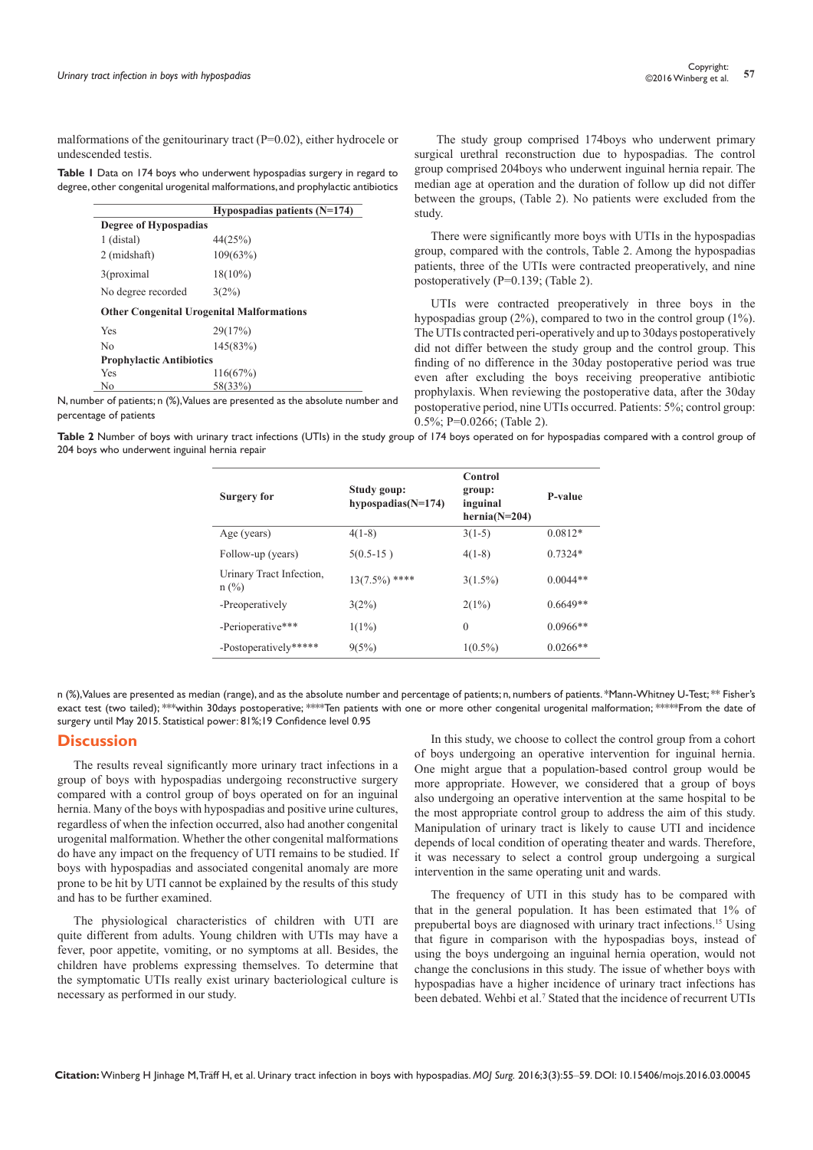malformations of the genitourinary tract  $(P=0.02)$ , either hydrocele or undescended testis.

| Table I Data on 174 boys who underwent hypospadias surgery in regard to         |
|---------------------------------------------------------------------------------|
| degree, other congenital urogenital malformations, and prophylactic antibiotics |

|                                 | Hypospadias patients $(N=174)$                   |
|---------------------------------|--------------------------------------------------|
| Degree of Hypospadias           |                                                  |
| 1 (distal)                      | 44(25%)                                          |
| 2 (midshaft)                    | 109(63%)                                         |
| 3(proximal)                     | $18(10\%)$                                       |
| No degree recorded              | $3(2\%)$                                         |
|                                 | <b>Other Congenital Urogenital Malformations</b> |
| Yes                             | 29(17%)                                          |
| No                              | 145(83%)                                         |
| <b>Prophylactic Antibiotics</b> |                                                  |
| Yes                             | 116(67%)                                         |
| No                              | 58(33%)                                          |

N, number of patients; n (%), Values are presented as the absolute number and percentage of patients

 The study group comprised 174boys who underwent primary surgical urethral reconstruction due to hypospadias. The control group comprised 204boys who underwent inguinal hernia repair. The median age at operation and the duration of follow up did not differ between the groups, (Table 2). No patients were excluded from the study.

There were significantly more boys with UTIs in the hypospadias group, compared with the controls, Table 2. Among the hypospadias patients, three of the UTIs were contracted preoperatively, and nine postoperatively (P=0.139; (Table 2).

UTIs were contracted preoperatively in three boys in the hypospadias group (2%), compared to two in the control group (1%). The UTIs contracted peri-operatively and up to 30days postoperatively did not differ between the study group and the control group. This finding of no difference in the 30day postoperative period was true even after excluding the boys receiving preoperative antibiotic prophylaxis. When reviewing the postoperative data, after the 30day postoperative period, nine UTIs occurred. Patients: 5%; control group: 0.5%; P=0.0266; (Table 2).

**Table 2** Number of boys with urinary tract infections (UTIs) in the study group of 174 boys operated on for hypospadias compared with a control group of 204 boys who underwent inguinal hernia repair

| <b>Surgery for</b>                  | Study goup:<br>hypospadias $(N=174)$ | Control<br>group:<br>inguinal<br>$hernia(N=204)$ | <b>P-value</b> |
|-------------------------------------|--------------------------------------|--------------------------------------------------|----------------|
| Age (years)                         | $4(1-8)$                             | $3(1-5)$                                         | $0.0812*$      |
| Follow-up (years)                   | $5(0.5-15)$                          | $4(1-8)$                                         | $0.7324*$      |
| Urinary Tract Infection,<br>$n$ (%) | $13(7.5\%)$ ****                     | $3(1.5\%)$                                       | $0.0044**$     |
| -Preoperatively                     | 3(2%)                                | 2(1%)                                            | $0.6649**$     |
| -Perioperative***                   | $1(1\%)$                             | $\Omega$                                         | $0.0966**$     |
| -Postoperatively*****               | 9(5%)                                | $1(0.5\%)$                                       | $0.0266**$     |

n (%), Values are presented as median (range), and as the absolute number and percentage of patients; n, numbers of patients. \*Mann-Whitney U-Test; \*\* Fisher's exact test (two tailed); \*\*\*within 30days postoperative; \*\*\*\*Ten patients with one or more other congenital urogenital malformation; \*\*\*\*\*From the date of surgery until May 2015. Statistical power: 81%;19 Confidence level 0.95

## **Discussion**

The results reveal significantly more urinary tract infections in a group of boys with hypospadias undergoing reconstructive surgery compared with a control group of boys operated on for an inguinal hernia. Many of the boys with hypospadias and positive urine cultures, regardless of when the infection occurred, also had another congenital urogenital malformation. Whether the other congenital malformations do have any impact on the frequency of UTI remains to be studied. If boys with hypospadias and associated congenital anomaly are more prone to be hit by UTI cannot be explained by the results of this study and has to be further examined.

The physiological characteristics of children with UTI are quite different from adults. Young children with UTIs may have a fever, poor appetite, vomiting, or no symptoms at all. Besides, the children have problems expressing themselves. To determine that the symptomatic UTIs really exist urinary bacteriological culture is necessary as performed in our study.

In this study, we choose to collect the control group from a cohort of boys undergoing an operative intervention for inguinal hernia. One might argue that a population-based control group would be more appropriate. However, we considered that a group of boys also undergoing an operative intervention at the same hospital to be the most appropriate control group to address the aim of this study. Manipulation of urinary tract is likely to cause UTI and incidence depends of local condition of operating theater and wards. Therefore, it was necessary to select a control group undergoing a surgical intervention in the same operating unit and wards.

The frequency of UTI in this study has to be compared with that in the general population. It has been estimated that 1% of prepubertal boys are diagnosed with urinary tract infections.15 Using that figure in comparison with the hypospadias boys, instead of using the boys undergoing an inguinal hernia operation, would not change the conclusions in this study. The issue of whether boys with hypospadias have a higher incidence of urinary tract infections has been debated. Wehbi et al.<sup>7</sup> Stated that the incidence of recurrent UTIs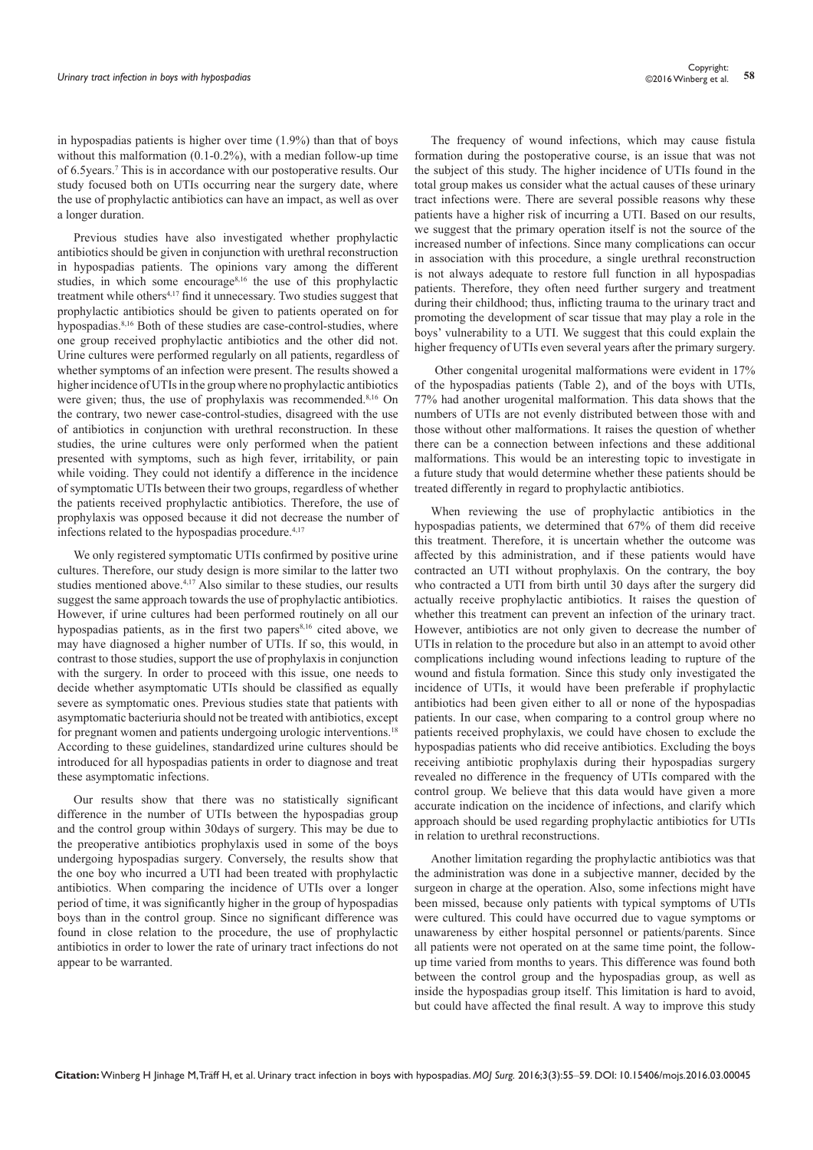in hypospadias patients is higher over time (1.9%) than that of boys without this malformation (0.1-0.2%), with a median follow-up time of 6.5years.7 This is in accordance with our postoperative results. Our study focused both on UTIs occurring near the surgery date, where the use of prophylactic antibiotics can have an impact, as well as over a longer duration.

Previous studies have also investigated whether prophylactic antibiotics should be given in conjunction with urethral reconstruction in hypospadias patients. The opinions vary among the different studies, in which some encourage<sup>8,16</sup> the use of this prophylactic treatment while others<sup>4,17</sup> find it unnecessary. Two studies suggest that prophylactic antibiotics should be given to patients operated on for hypospadias.<sup>8,16</sup> Both of these studies are case-control-studies, where one group received prophylactic antibiotics and the other did not. Urine cultures were performed regularly on all patients, regardless of whether symptoms of an infection were present. The results showed a higher incidence of UTIs in the group where no prophylactic antibiotics were given; thus, the use of prophylaxis was recommended.<sup>8,16</sup> On the contrary, two newer case-control-studies, disagreed with the use of antibiotics in conjunction with urethral reconstruction. In these studies, the urine cultures were only performed when the patient presented with symptoms, such as high fever, irritability, or pain while voiding. They could not identify a difference in the incidence of symptomatic UTIs between their two groups, regardless of whether the patients received prophylactic antibiotics. Therefore, the use of prophylaxis was opposed because it did not decrease the number of infections related to the hypospadias procedure.<sup>4,17</sup>

We only registered symptomatic UTIs confirmed by positive urine cultures. Therefore, our study design is more similar to the latter two studies mentioned above.<sup>4,17</sup> Also similar to these studies, our results suggest the same approach towards the use of prophylactic antibiotics. However, if urine cultures had been performed routinely on all our hypospadias patients, as in the first two papers<sup>8,16</sup> cited above, we may have diagnosed a higher number of UTIs. If so, this would, in contrast to those studies, support the use of prophylaxis in conjunction with the surgery. In order to proceed with this issue, one needs to decide whether asymptomatic UTIs should be classified as equally severe as symptomatic ones. Previous studies state that patients with asymptomatic bacteriuria should not be treated with antibiotics, except for pregnant women and patients undergoing urologic interventions.18 According to these guidelines, standardized urine cultures should be introduced for all hypospadias patients in order to diagnose and treat these asymptomatic infections.

Our results show that there was no statistically significant difference in the number of UTIs between the hypospadias group and the control group within 30days of surgery. This may be due to the preoperative antibiotics prophylaxis used in some of the boys undergoing hypospadias surgery. Conversely, the results show that the one boy who incurred a UTI had been treated with prophylactic antibiotics. When comparing the incidence of UTIs over a longer period of time, it was significantly higher in the group of hypospadias boys than in the control group. Since no significant difference was found in close relation to the procedure, the use of prophylactic antibiotics in order to lower the rate of urinary tract infections do not appear to be warranted.

The frequency of wound infections, which may cause fistula formation during the postoperative course, is an issue that was not the subject of this study. The higher incidence of UTIs found in the total group makes us consider what the actual causes of these urinary tract infections were. There are several possible reasons why these patients have a higher risk of incurring a UTI. Based on our results, we suggest that the primary operation itself is not the source of the increased number of infections. Since many complications can occur in association with this procedure, a single urethral reconstruction is not always adequate to restore full function in all hypospadias patients. Therefore, they often need further surgery and treatment during their childhood; thus, inflicting trauma to the urinary tract and promoting the development of scar tissue that may play a role in the boys' vulnerability to a UTI. We suggest that this could explain the higher frequency of UTIs even several years after the primary surgery.

 Other congenital urogenital malformations were evident in 17% of the hypospadias patients (Table 2), and of the boys with UTIs, 77% had another urogenital malformation. This data shows that the numbers of UTIs are not evenly distributed between those with and those without other malformations. It raises the question of whether there can be a connection between infections and these additional malformations. This would be an interesting topic to investigate in a future study that would determine whether these patients should be treated differently in regard to prophylactic antibiotics.

When reviewing the use of prophylactic antibiotics in the hypospadias patients, we determined that 67% of them did receive this treatment. Therefore, it is uncertain whether the outcome was affected by this administration, and if these patients would have contracted an UTI without prophylaxis. On the contrary, the boy who contracted a UTI from birth until 30 days after the surgery did actually receive prophylactic antibiotics. It raises the question of whether this treatment can prevent an infection of the urinary tract. However, antibiotics are not only given to decrease the number of UTIs in relation to the procedure but also in an attempt to avoid other complications including wound infections leading to rupture of the wound and fistula formation. Since this study only investigated the incidence of UTIs, it would have been preferable if prophylactic antibiotics had been given either to all or none of the hypospadias patients. In our case, when comparing to a control group where no patients received prophylaxis, we could have chosen to exclude the hypospadias patients who did receive antibiotics. Excluding the boys receiving antibiotic prophylaxis during their hypospadias surgery revealed no difference in the frequency of UTIs compared with the control group. We believe that this data would have given a more accurate indication on the incidence of infections, and clarify which approach should be used regarding prophylactic antibiotics for UTIs in relation to urethral reconstructions.

Another limitation regarding the prophylactic antibiotics was that the administration was done in a subjective manner, decided by the surgeon in charge at the operation. Also, some infections might have been missed, because only patients with typical symptoms of UTIs were cultured. This could have occurred due to vague symptoms or unawareness by either hospital personnel or patients/parents. Since all patients were not operated on at the same time point, the followup time varied from months to years. This difference was found both between the control group and the hypospadias group, as well as inside the hypospadias group itself. This limitation is hard to avoid, but could have affected the final result. A way to improve this study